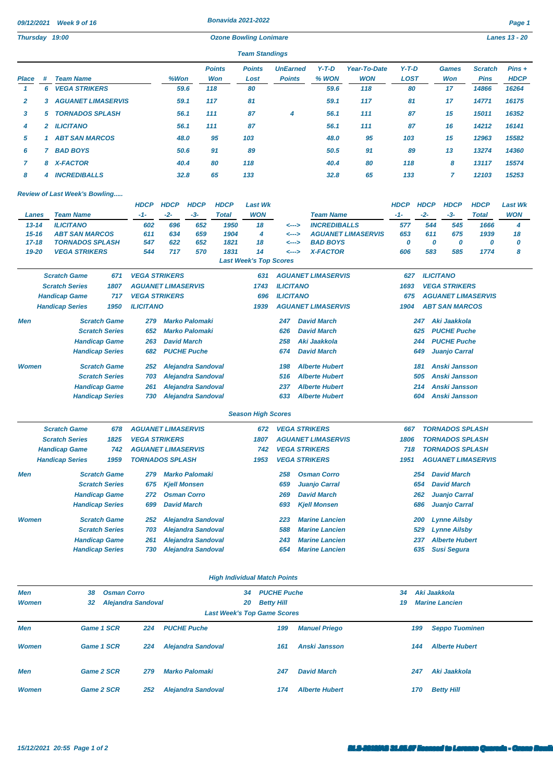|              | 09/12/2021<br>Week 9 of 16<br>Thursday 19:00 |                                      |                        | <b>Bonavida 2021-2022</b><br><b>Ozone Bowling Lonimare</b> |                      |                           |                             |                               |                                                           |                           |                                   |                        |                      |                            |                               | Page 1<br><b>Lanes 13 - 20</b> |
|--------------|----------------------------------------------|--------------------------------------|------------------------|------------------------------------------------------------|----------------------|---------------------------|-----------------------------|-------------------------------|-----------------------------------------------------------|---------------------------|-----------------------------------|------------------------|----------------------|----------------------------|-------------------------------|--------------------------------|
|              |                                              |                                      |                        |                                                            |                      |                           |                             | <b>Team Standings</b>         |                                                           |                           |                                   |                        |                      |                            |                               |                                |
|              |                                              |                                      |                        |                                                            |                      |                           |                             |                               |                                                           |                           |                                   |                        |                      |                            |                               |                                |
| Place        | #                                            | <b>Team Name</b>                     |                        |                                                            | %Won                 |                           | <b>Points</b><br><b>Won</b> | <b>Points</b><br>Lost         | <b>UnEarned</b><br><b>Points</b>                          | $Y-T-D$<br>% WON          | <b>Year-To-Date</b><br><b>WON</b> | $Y-T-D$<br><b>LOST</b> |                      | <b>Games</b><br><b>Won</b> | <b>Scratch</b><br><b>Pins</b> | $Pins +$<br><b>HDCP</b>        |
| 1            | 6                                            | <b>VEGA STRIKERS</b>                 |                        |                                                            | 59.6                 |                           | 118                         | 80                            |                                                           | 59.6                      | 118                               | 80                     |                      | 17                         | 14866                         | 16264                          |
| 2            | 3                                            | <b>AGUANET LIMASERVIS</b>            |                        |                                                            | 59.1                 |                           | 117                         | 81                            |                                                           | 59.1                      | 117                               | 81                     |                      | 17                         | 14771                         | 16175                          |
| 3            | 5                                            | <b>TORNADOS SPLASH</b>               |                        |                                                            | 56.1                 |                           | 111                         | 87                            | 4                                                         | 56.1                      | 111                               | 87                     |                      | 15                         | 15011                         | 16352                          |
| 4            | 2                                            | <b>ILICITANO</b>                     |                        |                                                            | 56.1                 |                           | 111                         | 87                            |                                                           | 56.1                      | 111                               | 87                     |                      | 16                         | 14212                         | 16141                          |
| 5            | -1                                           | <b>ABT SAN MARCOS</b>                |                        |                                                            | 48.0                 |                           | 95                          | 103                           |                                                           | 48.0                      | 95                                | 103                    |                      | 15                         | 12963                         | 15582                          |
| 6            | 7                                            | <b>BAD BOYS</b>                      |                        |                                                            | 50.6                 |                           | 91                          | 89                            |                                                           | 50.5                      | 91                                | 89                     |                      | 13                         | 13274                         | 14360                          |
| 7            | 8                                            | <b>X-FACTOR</b>                      |                        |                                                            | 40.4                 |                           | 80                          | 118                           |                                                           | 40.4                      | 80                                | 118                    |                      | 8                          | 13117                         | 15574                          |
| 8            | 4                                            | <b>INCREDIBALLS</b>                  |                        |                                                            | 32.8                 |                           | 65                          | 133                           |                                                           | 32.8                      | 65                                | 133                    |                      | $\overline{7}$             | 12103                         | 15253                          |
|              |                                              |                                      |                        |                                                            |                      |                           |                             |                               |                                                           |                           |                                   |                        |                      |                            |                               |                                |
|              |                                              | <b>Review of Last Week's Bowling</b> |                        | <b>HDCP</b>                                                |                      |                           |                             |                               |                                                           |                           |                                   |                        |                      |                            |                               |                                |
| <b>Lanes</b> |                                              | <b>Team Name</b>                     |                        | $-1-$                                                      | <b>HDCP</b><br>$-2-$ | <b>HDCP</b><br>$-3-$      | <b>HDCP</b><br><b>Total</b> | <b>Last Wk</b><br><b>WON</b>  |                                                           |                           |                                   | <b>HDCP</b><br>$-1-$   | <b>HDCP</b><br>$-2-$ | <b>HDCP</b><br>$-3-$       | <b>HDCP</b><br><b>Total</b>   | <b>Last Wk</b><br><b>WON</b>   |
| $13 - 14$    |                                              | <b>ILICITANO</b>                     |                        | 602                                                        | 696                  | 652                       | 1950                        | 18                            | <b>Team Name</b><br><b>INCREDIBALLS</b><br><---><br><---> |                           |                                   | 577                    | 544                  | 545                        | 1666                          | 4                              |
| $15 - 16$    |                                              | <b>ABT SAN MARCOS</b>                |                        | 611                                                        | 634                  | 659                       | 1904                        | 4                             |                                                           |                           | <b>AGUANET LIMASERVIS</b>         | 653                    | 611                  | 675                        | 1939                          | 18                             |
| $17 - 18$    |                                              | <b>TORNADOS SPLASH</b>               |                        | 547                                                        | 622                  | 652                       | 1821                        | 18                            | <--->                                                     | <b>BAD BOYS</b>           |                                   | 0                      | 0                    | 0                          | 0                             | 0                              |
| 19-20        |                                              | <b>VEGA STRIKERS</b>                 |                        | 544                                                        | 717                  | 570                       | 1831                        | 14                            | <--->                                                     | <b>X-FACTOR</b>           |                                   | 606                    | 583                  | 585                        | 1774                          | 8                              |
|              |                                              |                                      |                        |                                                            |                      |                           |                             | <b>Last Week's Top Scores</b> |                                                           |                           |                                   |                        |                      |                            |                               |                                |
|              |                                              | <b>Scratch Game</b>                  | 671                    | <b>VEGA STRIKERS</b>                                       |                      |                           |                             | 631                           |                                                           | <b>AGUANET LIMASERVIS</b> |                                   | 627                    | <b>ILICITANO</b>     |                            |                               |                                |
|              |                                              | <b>Scratch Series</b>                | 1807                   | <b>AGUANET LIMASERVIS</b>                                  |                      |                           |                             | 1743                          | <b>ILICITANO</b>                                          |                           |                                   | 1693                   |                      | <b>VEGA STRIKERS</b>       |                               |                                |
|              |                                              | <b>Handicap Game</b>                 | 717                    | <b>VEGA STRIKERS</b>                                       |                      |                           |                             | 696                           | <b>ILICITANO</b>                                          |                           |                                   | 675                    |                      |                            | <b>AGUANET LIMASERVIS</b>     |                                |
|              |                                              | <b>Handicap Series</b>               | 1950                   | <b>ILICITANO</b>                                           |                      |                           |                             | 1939                          |                                                           | <b>AGUANET LIMASERVIS</b> |                                   | 1904                   |                      | <b>ABT SAN MARCOS</b>      |                               |                                |
| Men          |                                              |                                      | <b>Scratch Game</b>    | 279                                                        |                      | <b>Marko Palomaki</b>     |                             |                               | 247                                                       | <b>David March</b>        |                                   |                        | 247                  | Aki Jaakkola               |                               |                                |
|              |                                              |                                      | <b>Scratch Series</b>  | 652                                                        |                      | <b>Marko Palomaki</b>     |                             |                               | 626                                                       | <b>David March</b>        |                                   |                        | 625                  | <b>PUCHE Puche</b>         |                               |                                |
|              |                                              |                                      | <b>Handicap Game</b>   | 263                                                        | <b>David March</b>   |                           |                             |                               | 258                                                       | Aki Jaakkola              |                                   |                        | 244                  | <b>PUCHE Puche</b>         |                               |                                |
|              |                                              |                                      | <b>Handicap Series</b> | 682                                                        |                      | <b>PUCHE Puche</b>        |                             |                               | 674                                                       | <b>David March</b>        |                                   |                        | 649                  | <b>Juanjo Carral</b>       |                               |                                |
| <b>Women</b> |                                              |                                      | <b>Scratch Game</b>    | 252                                                        |                      | <b>Alejandra Sandoval</b> |                             |                               | 198                                                       | <b>Alberte Hubert</b>     |                                   |                        | 181                  | <b>Anski Jansson</b>       |                               |                                |
|              |                                              |                                      | <b>Scratch Series</b>  | 703                                                        |                      | <b>Alejandra Sandoval</b> |                             |                               | 516                                                       | <b>Alberte Hubert</b>     |                                   |                        | 505                  | <b>Anski Jansson</b>       |                               |                                |
|              |                                              |                                      | <b>Handicap Game</b>   | 261                                                        |                      | <b>Alejandra Sandoval</b> |                             |                               | 237                                                       | <b>Alberte Hubert</b>     |                                   |                        | 214                  | <b>Anski Jansson</b>       |                               |                                |
|              |                                              |                                      | <b>Handicap Series</b> | 730                                                        |                      | <b>Alejandra Sandoval</b> |                             |                               | 633                                                       | <b>Alberte Hubert</b>     |                                   |                        | 604                  | <b>Anski Jansson</b>       |                               |                                |
|              |                                              |                                      |                        |                                                            |                      |                           |                             | <b>Season High Scores</b>     |                                                           |                           |                                   |                        |                      |                            |                               |                                |
|              |                                              | <b>Scratch Game</b>                  | 678                    | <b>AGUANET LIMASERVIS</b>                                  |                      |                           |                             | 672                           | <b>VEGA STRIKERS</b>                                      |                           |                                   | 667                    |                      | <b>TORNADOS SPLASH</b>     |                               |                                |
|              |                                              | <b>Scratch Series</b>                | 1825                   | <b>VEGA STRIKERS</b>                                       |                      |                           |                             | 1807                          |                                                           | <b>AGUANET LIMASERVIS</b> |                                   | 1806                   |                      | <b>TORNADOS SPLASH</b>     |                               |                                |
|              |                                              | <b>Handicap Game</b>                 | 742                    | <b>AGUANET LIMASERVIS</b>                                  |                      |                           |                             | 742                           | <b>VEGA STRIKERS</b>                                      |                           |                                   | 718                    |                      | <b>TORNADOS SPLASH</b>     |                               |                                |
|              |                                              | <b>Handicap Series</b>               | 1959                   | <b>TORNADOS SPLASH</b>                                     |                      |                           |                             | 1953                          | <b>VEGA STRIKERS</b>                                      |                           |                                   | 1951                   |                      |                            | <b>AGUANET LIMASERVIS</b>     |                                |

|    | $\sim$ | .                         | $\cdots$ | .   | ັ   |   | $\ddotsc$ | .   | $\tilde{\phantom{a}}$ | .  | $\cdots$ | $\sim$ |
|----|--------|---------------------------|----------|-----|-----|---|-----------|-----|-----------------------|----|----------|--------|
| 2  | 3.     | <b>AGUANET LIMASERVIS</b> | 59.1     | 117 | 81  |   | 59.1      | 117 | 81                    | 17 | 14771    | 16175  |
|    | 5      | <b>TORNADOS SPLASH</b>    | 56.1     | 111 | 87  | 4 | 56.1      | 111 | 87                    | 15 | 15011    | 16352  |
| 4  |        | 2 ILICITANO               | 56.1     | 111 | 87  |   | 56.1      | 111 | 87                    | 16 | 14212    | 16141  |
| 5. |        | <b>ABT SAN MARCOS</b>     | 48.0     | 95  | 103 |   | 48.0      | 95  | 103                   | 15 | 12963    | 15582  |
| 6. |        | <b>BAD BOYS</b>           | 50.6     | 91  | 89  |   | 50.5      | 91  | 89                    | 13 | 13274    | 14360  |
|    |        | 8 X-FACTOR                | 40.4     | 80  | 118 |   | 40.4      | 80  | 118                   | 8  | 13117    | 15574  |
| 8  | 4      | <b>INCREDIBALLS</b>       | 32.8     | 65  | 133 |   | 32.8      | 65  | 133                   |    | 12103    | 15253  |
|    |        |                           |          |     |     |   |           |     |                       |    |          |        |

## *Review of Last Week's Bowling.....*

| Lanes        | <b>Team Name</b>       |                       | $-1-$                     | $-2-$               | $-3-$                     | <b>Total</b> | <b>WON</b>                    |                  | <b>Team Name</b>          | $-1-$ | $-2-$            | $-3-$                  | <b>Total</b>              | <b>WON</b> |
|--------------|------------------------|-----------------------|---------------------------|---------------------|---------------------------|--------------|-------------------------------|------------------|---------------------------|-------|------------------|------------------------|---------------------------|------------|
| $13 - 14$    | <b>ILICITANO</b>       |                       | 602                       | 696                 | 652                       | 1950         | 18                            | <--->            | <b>INCREDIBALLS</b>       | 577   | 544              | 545                    | 1666                      | 4          |
| $15 - 16$    | <b>ABT SAN MARCOS</b>  |                       | 611                       | 634                 | 659                       | 1904         | 4                             | <--->            | <b>AGUANET LIMASERVIS</b> | 653   | 611              | 675                    | 1939                      | 18         |
| $17 - 18$    | <b>TORNADOS SPLASH</b> |                       | 547                       | 622                 | 652                       | 1821         | 18                            | <--->            | <b>BAD BOYS</b>           | 0     | 0                | 0                      | 0                         | 0          |
| 19-20        | <b>VEGA STRIKERS</b>   |                       | 544                       | 717                 | 570                       | 1831         | 14                            | <--->            | <b>X-FACTOR</b>           | 606   | 583              | 585                    | 1774                      | 8          |
|              |                        |                       |                           |                     |                           |              | <b>Last Week's Top Scores</b> |                  |                           |       |                  |                        |                           |            |
|              | <b>Scratch Game</b>    | 671                   | <b>VEGA STRIKERS</b>      |                     |                           |              | 631                           |                  | <b>AGUANET LIMASERVIS</b> | 627   | <b>ILICITANO</b> |                        |                           |            |
|              | <b>Scratch Series</b>  | 1807                  | <b>AGUANET LIMASERVIS</b> |                     |                           |              | 1743                          | <b>ILICITANO</b> |                           | 1693  |                  | <b>VEGA STRIKERS</b>   |                           |            |
|              | <b>Handicap Game</b>   | 717                   | <b>VEGA STRIKERS</b>      |                     |                           |              | 696                           | <b>ILICITANO</b> |                           | 675   |                  |                        | <b>AGUANET LIMASERVIS</b> |            |
|              | <b>Handicap Series</b> | 1950                  | <b>ILICITANO</b>          |                     |                           |              | 1939                          |                  | <b>AGUANET LIMASERVIS</b> | 1904  |                  | <b>ABT SAN MARCOS</b>  |                           |            |
| Men          |                        | <b>Scratch Game</b>   | 279                       |                     | <b>Marko Palomaki</b>     |              |                               | 247              | <b>David March</b>        |       | 247              | Aki Jaakkola           |                           |            |
|              |                        | <b>Scratch Series</b> | 652                       |                     | <b>Marko Palomaki</b>     |              |                               | 626              | <b>David March</b>        |       | 625              | <b>PUCHE Puche</b>     |                           |            |
|              |                        | <b>Handicap Game</b>  | 263                       | <b>David March</b>  |                           |              |                               | 258              | Aki Jaakkola              |       | 244              | <b>PUCHE Puche</b>     |                           |            |
|              | <b>Handicap Series</b> |                       | 682                       |                     | <b>PUCHE Puche</b>        |              |                               | 674              | <b>David March</b>        |       | 649              | <b>Juanjo Carral</b>   |                           |            |
| <b>Women</b> |                        | <b>Scratch Game</b>   | 252                       |                     | <b>Alejandra Sandoval</b> |              |                               | 198              | <b>Alberte Hubert</b>     |       | 181              | <b>Anski Jansson</b>   |                           |            |
|              |                        | <b>Scratch Series</b> | 703                       |                     | <b>Alejandra Sandoval</b> |              |                               | 516              | <b>Alberte Hubert</b>     |       | 505              | <b>Anski Jansson</b>   |                           |            |
|              |                        | <b>Handicap Game</b>  | 261                       |                     | <b>Alejandra Sandoval</b> |              |                               | 237              | <b>Alberte Hubert</b>     |       | 214              | <b>Anski Jansson</b>   |                           |            |
|              | <b>Handicap Series</b> |                       | 730                       |                     | <b>Alejandra Sandoval</b> |              |                               | 633              | <b>Alberte Hubert</b>     |       | 604              | <b>Anski Jansson</b>   |                           |            |
|              |                        |                       |                           |                     |                           |              | <b>Season High Scores</b>     |                  |                           |       |                  |                        |                           |            |
|              | <b>Scratch Game</b>    | 678                   | <b>AGUANET LIMASERVIS</b> |                     |                           |              | 672                           |                  | <b>VEGA STRIKERS</b>      | 667   |                  | <b>TORNADOS SPLASH</b> |                           |            |
|              | <b>Scratch Series</b>  | 1825                  | <b>VEGA STRIKERS</b>      |                     |                           |              | 1807                          |                  | <b>AGUANET LIMASERVIS</b> | 1806  |                  | <b>TORNADOS SPLASH</b> |                           |            |
|              | <b>Handicap Game</b>   | 742                   | <b>AGUANET LIMASERVIS</b> |                     |                           |              | 742                           |                  | <b>VEGA STRIKERS</b>      | 718   |                  | <b>TORNADOS SPLASH</b> |                           |            |
|              | <b>Handicap Series</b> | 1959                  | <b>TORNADOS SPLASH</b>    |                     |                           |              | 1953                          |                  | <b>VEGA STRIKERS</b>      | 1951  |                  |                        | <b>AGUANET LIMASERVIS</b> |            |
| Men          |                        | <b>Scratch Game</b>   | 279                       |                     | <b>Marko Palomaki</b>     |              |                               | 258              | <b>Osman Corro</b>        |       | 254              | <b>David March</b>     |                           |            |
|              |                        | <b>Scratch Series</b> | 675                       | <b>Kjell Monsen</b> |                           |              |                               | 659              | <b>Juanjo Carral</b>      |       | 654              | <b>David March</b>     |                           |            |
|              |                        | <b>Handicap Game</b>  | 272                       | <b>Osman Corro</b>  |                           |              |                               | 269              | <b>David March</b>        |       | 262              | <b>Juanjo Carral</b>   |                           |            |
|              | <b>Handicap Series</b> |                       | 699                       | <b>David March</b>  |                           |              |                               | 693              | <b>Kjell Monsen</b>       |       | 686              | <b>Juanjo Carral</b>   |                           |            |
| <b>Women</b> |                        | <b>Scratch Game</b>   | 252                       |                     | <b>Alejandra Sandoval</b> |              |                               | 223              | <b>Marine Lancien</b>     |       | 200              | <b>Lynne Ailsby</b>    |                           |            |
|              |                        | <b>Scratch Series</b> | 703                       |                     | <b>Alejandra Sandoval</b> |              |                               | 588              | <b>Marine Lancien</b>     |       | 529              | <b>Lynne Ailsby</b>    |                           |            |
|              |                        | <b>Handicap Game</b>  | 261                       |                     | <b>Alejandra Sandoval</b> |              |                               | 243              | <b>Marine Lancien</b>     |       | 237              | <b>Alberte Hubert</b>  |                           |            |
|              | <b>Handicap Series</b> |                       | 730                       |                     | <b>Alejandra Sandoval</b> |              |                               | 654              | <b>Marine Lancien</b>     |       | 635              | <b>Susi Segura</b>     |                           |            |

| <b>High Individual Match Points</b> |  |
|-------------------------------------|--|

| Men<br><b>Women</b> | 38<br>32          | <b>Osman Corro</b><br><b>Alejandra Sandoval</b> |     |                           |  | <b>PUCHE Puche</b><br><b>Betty Hill</b><br><b>Last Week's Top Game Scores</b> |                       | Aki Jaakkola<br>34<br><b>Marine Lancien</b><br>19 |     |                       |  |  |
|---------------------|-------------------|-------------------------------------------------|-----|---------------------------|--|-------------------------------------------------------------------------------|-----------------------|---------------------------------------------------|-----|-----------------------|--|--|
| Men                 | Game 1 SCR        |                                                 | 224 | <b>PUCHE Puche</b>        |  | 199                                                                           | <b>Manuel Priego</b>  |                                                   | 199 | <b>Seppo Tuominen</b> |  |  |
| <b>Women</b>        | Game 1 SCR        |                                                 | 224 | <b>Alejandra Sandoval</b> |  | 161                                                                           | Anski Jansson         |                                                   | 144 | <b>Alberte Hubert</b> |  |  |
| <b>Men</b>          | <b>Game 2 SCR</b> |                                                 | 279 | <b>Marko Palomaki</b>     |  | 247                                                                           | <b>David March</b>    |                                                   | 247 | Aki Jaakkola          |  |  |
| <b>Women</b>        | <b>Game 2 SCR</b> |                                                 | 252 | <b>Alejandra Sandoval</b> |  | 174                                                                           | <b>Alberte Hubert</b> |                                                   | 170 | <b>Betty Hill</b>     |  |  |